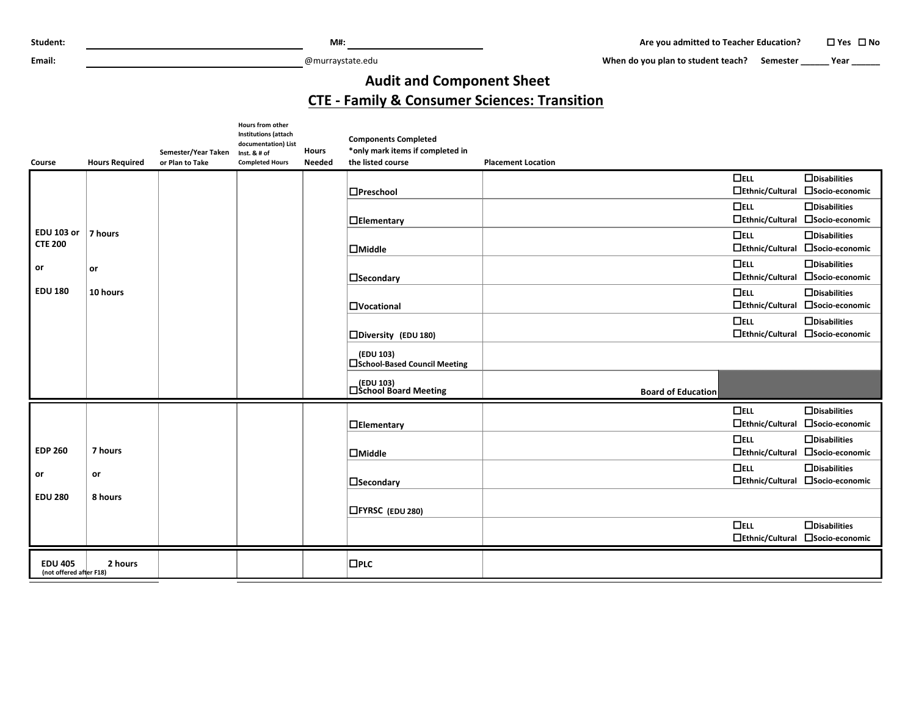**Email:** @murraystate.edu

When do you plan to student teach? Semester **\_\_\_\_\_** Year \_\_\_\_\_\_

## **Audit and Component Sheet**

## **CTE - Family & Consumer Sciences: Transition**

|                                           |                       |                                        | Hours from other<br><b>Institutions (attach</b><br>documentation) List |                               | <b>Components Completed</b>                           |                           |                        |                                  |
|-------------------------------------------|-----------------------|----------------------------------------|------------------------------------------------------------------------|-------------------------------|-------------------------------------------------------|---------------------------|------------------------|----------------------------------|
| <b>Course</b>                             | <b>Hours Required</b> | Semester/Year Taken<br>or Plan to Take | Inst. & # of<br><b>Completed Hours</b>                                 | <b>Hours</b><br><b>Needed</b> | *only mark items if completed in<br>the listed course | <b>Placement Location</b> |                        |                                  |
|                                           |                       |                                        |                                                                        |                               |                                                       |                           | $\Box$ ELL             | $\Box$ Disabilities              |
|                                           |                       |                                        |                                                                        |                               | $\Box$ Preschool                                      |                           | $\Box$ Ethnic/Cultural | □Socio-economic                  |
|                                           |                       |                                        |                                                                        |                               |                                                       |                           | $\Box$ ELL             | $\Box$ Disabilities              |
|                                           |                       |                                        |                                                                        |                               | $\Box$ Elementary                                     |                           | □Ethnic/Cultural       | □Socio-economic                  |
| <b>EDU 103 or</b>                         | 7 hours               |                                        |                                                                        |                               |                                                       |                           | $\Box$ ELL             | $\Box$ Disabilities              |
| <b>CTE 200</b>                            |                       |                                        |                                                                        |                               | $\Box$ Middle                                         |                           | $\Box$ Ethnic/Cultural | □Socio-economic                  |
| or                                        | or                    |                                        |                                                                        |                               |                                                       |                           | $\Box$ ELL             | $\Box$ Disabilities              |
|                                           |                       |                                        |                                                                        |                               | $\square$ Secondary                                   |                           | □Ethnic/Cultural       | □Socio-economic                  |
| <b>EDU 180</b>                            | 10 hours              |                                        |                                                                        |                               |                                                       |                           | $\Box$ ELL             | $\Box$ Disabilities              |
|                                           |                       |                                        |                                                                        |                               | $\Box$ Vocational                                     |                           | $\Box$ Ethnic/Cultural | □Socio-economic                  |
|                                           |                       |                                        |                                                                        |                               |                                                       |                           | $\Box$ ELL             | $\Box$ Disabilities              |
|                                           |                       |                                        |                                                                        |                               | □Diversity (EDU 180)                                  |                           | $\Box$ Ethnic/Cultural | □Socio-economic                  |
|                                           |                       |                                        |                                                                        |                               | (EDU 103)<br>□School-Based Council Meeting            |                           |                        |                                  |
|                                           |                       |                                        |                                                                        |                               | (EDU 103)<br>□School Board Meeting                    | <b>Board of Education</b> |                        |                                  |
|                                           |                       |                                        |                                                                        |                               |                                                       |                           | $\Box$ ELL             | $\Box$ Disabilities              |
|                                           |                       |                                        |                                                                        |                               | $\Box$ Elementary                                     |                           | □Ethnic/Cultural       | □Socio-economic                  |
|                                           |                       |                                        |                                                                        |                               |                                                       |                           | $\Box$ ELL             | $\Box$ Disabilities              |
| <b>EDP 260</b>                            | 7 hours               |                                        |                                                                        |                               | $\Box$ Middle                                         |                           | □Ethnic/Cultural       | □Socio-economic                  |
| or                                        | or                    |                                        |                                                                        |                               |                                                       |                           | $\Box$ ELL             | $\Box$ Disabilities              |
|                                           |                       |                                        |                                                                        |                               | $\square$ Secondary                                   |                           | $\Box$ Ethnic/Cultural | □Socio-economic                  |
| <b>EDU 280</b>                            | 8 hours               |                                        |                                                                        |                               | <b>CFYRSC</b> (EDU 280)                               |                           |                        |                                  |
|                                           |                       |                                        |                                                                        |                               |                                                       |                           | $\Box$ ELL             | $\Box$ Disabilities              |
|                                           |                       |                                        |                                                                        |                               |                                                       |                           |                        | □Ethnic/Cultural □Socio-economic |
| <b>EDU 405</b><br>(not offered after F18) | 2 hours               |                                        |                                                                        |                               | $\square$ PLC                                         |                           |                        |                                  |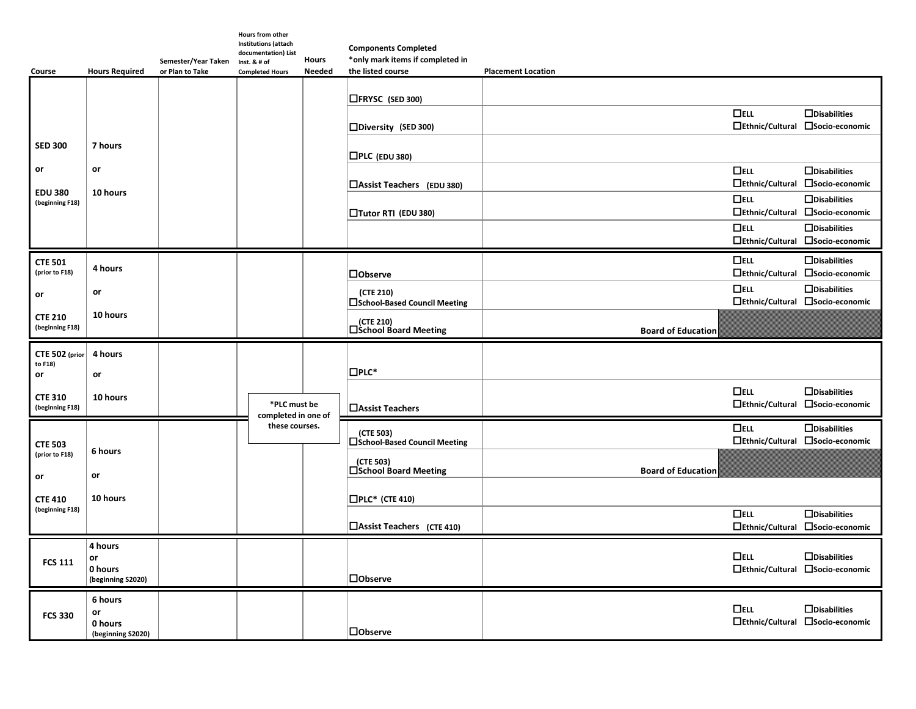| <b>Course</b>                          | <b>Hours Required</b>        | Semester/Year Taken<br>or Plan to Take | Hours from other<br><b>Institutions (attach</b><br>documentation) List<br>Inst. & # of<br><b>Completed Hours</b> | <b>Hours</b><br><b>Needed</b> | <b>Components Completed</b><br>*only mark items if completed in<br>the listed course | <b>Placement Location</b> |                                      |                                                         |
|----------------------------------------|------------------------------|----------------------------------------|------------------------------------------------------------------------------------------------------------------|-------------------------------|--------------------------------------------------------------------------------------|---------------------------|--------------------------------------|---------------------------------------------------------|
|                                        |                              |                                        |                                                                                                                  |                               | $\Box$ FRYSC (SED 300)                                                               |                           |                                      |                                                         |
|                                        |                              |                                        |                                                                                                                  |                               | □Diversity (SED 300)                                                                 |                           | $\Box$ ELL<br>$\Box$ Ethnic/Cultural | $\Box$ Disabilities<br>□Socio-economic                  |
| <b>SED 300</b>                         | 7 hours                      |                                        |                                                                                                                  |                               | $\Box$ PLC (EDU 380)                                                                 |                           |                                      |                                                         |
| or<br><b>EDU 380</b>                   | or<br>10 hours               |                                        |                                                                                                                  |                               | $\Box$ Assist Teachers (EDU 380)                                                     |                           | $\Box$ ELL<br>$\Box$ Ethnic/Cultural | $\Box$ Disabilities<br>□Socio-economic                  |
| (beginning F18)                        |                              |                                        |                                                                                                                  |                               | □Tutor RTI (EDU 380)                                                                 |                           | $\Box$ ELL                           | $\Box$ Disabilities<br>□Ethnic/Cultural □Socio-economic |
|                                        |                              |                                        |                                                                                                                  |                               |                                                                                      |                           | $\Box$ ELL                           | $\Box$ Disabilities<br>□Ethnic/Cultural □Socio-economic |
| <b>CTE 501</b><br>(prior to F18)       | 4 hours                      |                                        |                                                                                                                  |                               | <b>Dobserve</b>                                                                      |                           | $\Box$ ELL<br>$\Box$ Ethnic/Cultural | $\Box$ Disabilities<br>□Socio-economic                  |
| or                                     | or                           |                                        |                                                                                                                  |                               | (CTE 210)<br><b>□School-Based Council Meeting</b>                                    |                           | $\Box$ ELL                           | $\Box$ Disabilities<br>□Ethnic/Cultural □Socio-economic |
| <b>CTE 210</b><br>(beginning F18)      | 10 hours                     |                                        |                                                                                                                  |                               | (CTE 210)<br> □School Board Meeting                                                  | <b>Board of Education</b> |                                      |                                                         |
|                                        | 4 hours                      |                                        |                                                                                                                  |                               |                                                                                      |                           |                                      |                                                         |
| CTE 502 (prior                         |                              |                                        |                                                                                                                  |                               |                                                                                      |                           |                                      |                                                         |
| to F18)<br>or                          | or                           |                                        |                                                                                                                  |                               | $\square$ PLC*                                                                       |                           |                                      |                                                         |
| <b>CTE 310</b><br>(beginning F18)      | 10 hours                     |                                        | *PLC must be<br>completed in one of                                                                              |                               | <b>□Assist Teachers</b>                                                              |                           | $\Box$ ELL<br>$\Box$ Ethnic/Cultural | $\Box$ Disabilities<br>□Socio-economic                  |
|                                        |                              |                                        | these courses.                                                                                                   |                               | (CTE 503)<br>$\square$ School-Based Council Meeting                                  |                           | $\Box$ ELL                           | $\Box$ Disabilities<br>□Ethnic/Cultural □Socio-economic |
| <b>CTE 503</b><br>(prior to F18)<br>or | 6 hours<br>or                |                                        |                                                                                                                  |                               | (CTE 503)<br>□School Board Meeting                                                   | <b>Board of Education</b> |                                      |                                                         |
| <b>CTE 410</b>                         | 10 hours                     |                                        |                                                                                                                  |                               | $\square$ PLC* (CTE 410)                                                             |                           |                                      |                                                         |
| (beginning F18)                        |                              |                                        |                                                                                                                  |                               | <b>LAssist Teachers</b> (CTE 410)                                                    |                           | $\Box$ ELL                           | $\Box$ Disabilities<br>□Ethnic/Cultural □Socio-economic |
| <b>FCS 111</b>                         | 4 hours<br>or<br>0 hours     |                                        |                                                                                                                  |                               |                                                                                      |                           | $\Box$ ELL                           | $\Box$ Disabilities<br>□Ethnic/Cultural □Socio-economic |
|                                        | (beginning S2020)<br>6 hours |                                        |                                                                                                                  |                               | <b>Dobserve</b>                                                                      |                           |                                      |                                                         |